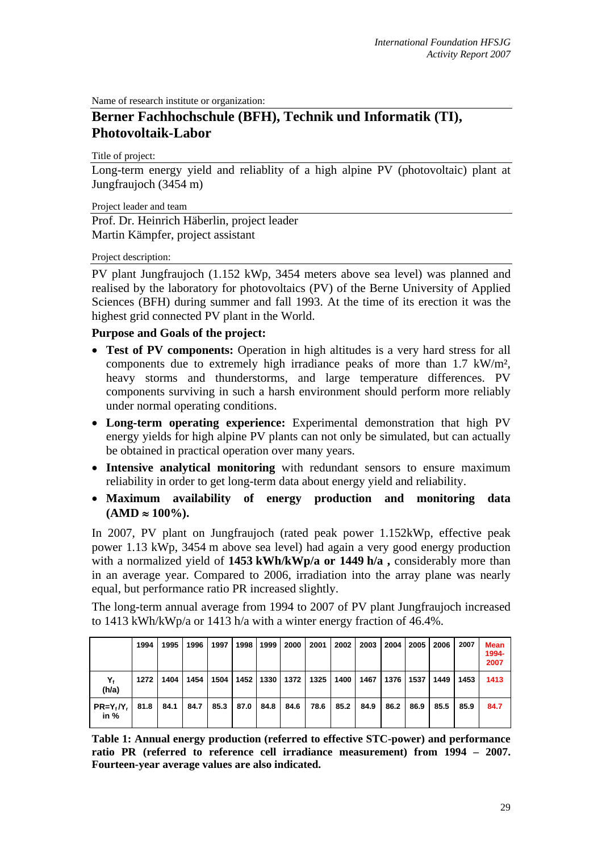Name of research institute or organization:

# **Berner Fachhochschule (BFH), Technik und Informatik (TI), Photovoltaik-Labor**

Title of project:

Long-term energy yield and reliablity of a high alpine PV (photovoltaic) plant at Jungfraujoch (3454 m)

Project leader and team

Prof. Dr. Heinrich Häberlin, project leader Martin Kämpfer, project assistant

#### Project description:

PV plant Jungfraujoch (1.152 kWp, 3454 meters above sea level) was planned and realised by the laboratory for photovoltaics (PV) of the Berne University of Applied Sciences (BFH) during summer and fall 1993. At the time of its erection it was the highest grid connected PV plant in the World.

### **Purpose and Goals of the project:**

- **Test of PV components:** Operation in high altitudes is a very hard stress for all components due to extremely high irradiance peaks of more than 1.7 kW/m², heavy storms and thunderstorms, and large temperature differences. PV components surviving in such a harsh environment should perform more reliably under normal operating conditions.
- **Long-term operating experience:** Experimental demonstration that high PV energy yields for high alpine PV plants can not only be simulated, but can actually be obtained in practical operation over many years.
- **Intensive analytical monitoring** with redundant sensors to ensure maximum reliability in order to get long-term data about energy yield and reliability.
- **Maximum availability of energy production and monitoring data**   $(AMD ≈ 100\%).$

In 2007, PV plant on Jungfraujoch (rated peak power 1.152kWp, effective peak power 1.13 kWp, 3454 m above sea level) had again a very good energy production with a normalized yield of **1453 kWh/kWp/a or 1449 h/a**, considerably more than in an average year. Compared to 2006, irradiation into the array plane was nearly equal, but performance ratio PR increased slightly.

The long-term annual average from 1994 to 2007 of PV plant Jungfraujoch increased to 1413 kWh/kWp/a or 1413 h/a with a winter energy fraction of 46.4%.

|                          | 1994 | 1995 | 1996 | 1997 | 1998 I | 1999 | 2000 | 2001                                    | 2002 | 2003 | 2004 | 2005 | 2006 | 2007 | Mean<br>1994-<br>2007 |
|--------------------------|------|------|------|------|--------|------|------|-----------------------------------------|------|------|------|------|------|------|-----------------------|
| (h/a)                    | 1272 | 1404 | 1454 |      |        |      |      | 1504   1452   1330   1372   1325   1400 |      | 1467 | 1376 | 1537 | 1449 | 1453 | 1413                  |
| $PR = Y_t/Y_t$<br>in $%$ | 81.8 | 84.1 | 84.7 | 85.3 | 87.0   | 84.8 | 84.6 | 78.6                                    | 85.2 | 84.9 | 86.2 | 86.9 | 85.5 | 85.9 | 84.7                  |

**Table 1: Annual energy production (referred to effective STC-power) and performance ratio PR (referred to reference cell irradiance measurement) from 1994 – 2007. Fourteen-year average values are also indicated.**